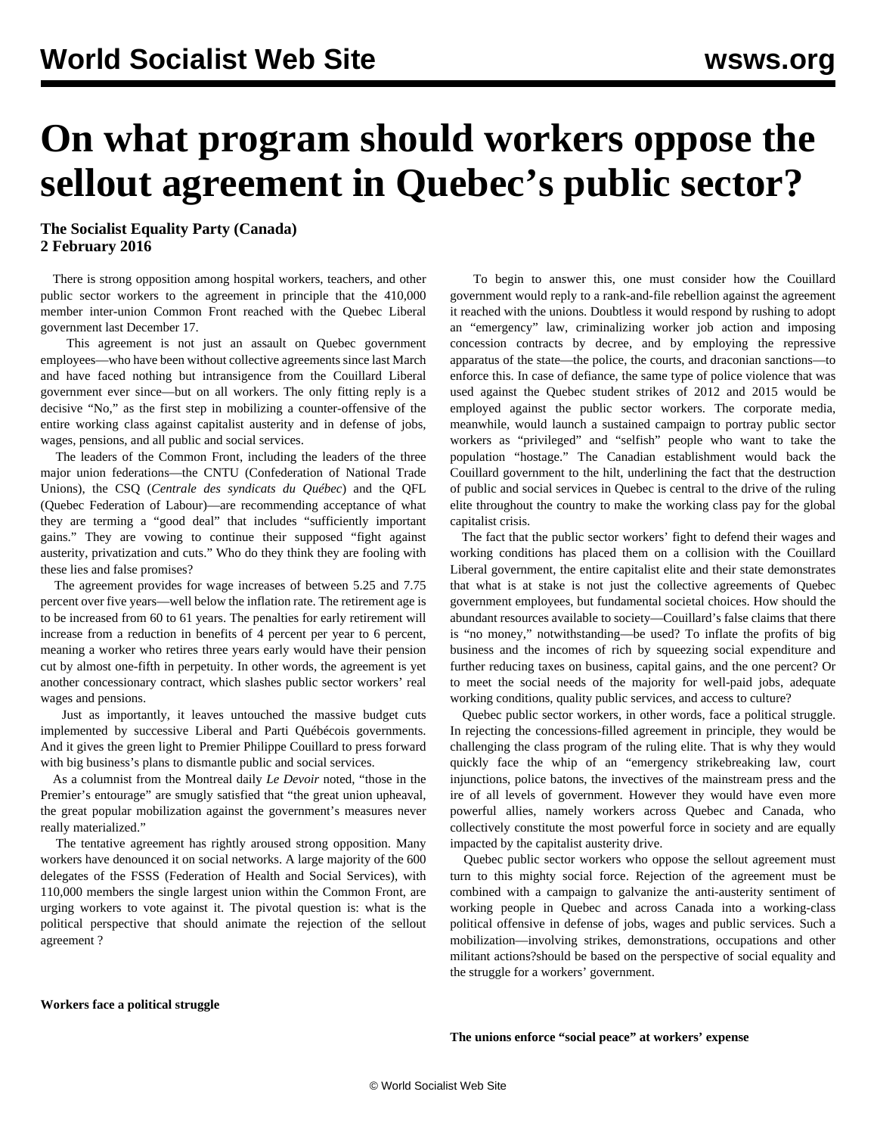## **On what program should workers oppose the sellout agreement in Quebec's public sector?**

**The Socialist Equality Party (Canada) 2 February 2016**

 There is strong opposition among hospital workers, teachers, and other public sector workers to the agreement in principle that the 410,000 member inter-union Common Front reached with the Quebec Liberal government last December 17.

 This agreement is not just an assault on Quebec government employees—who have been without collective agreements since last March and have faced nothing but intransigence from the Couillard Liberal government ever since—but on all workers. The only fitting reply is a decisive "No," as the first step in mobilizing a counter-offensive of the entire working class against capitalist austerity and in defense of jobs, wages, pensions, and all public and social services.

 The leaders of the Common Front, including the leaders of the three major union federations—the CNTU (Confederation of National Trade Unions), the CSQ (*Centrale des syndicats du Québec*) and the QFL (Quebec Federation of Labour)—are recommending acceptance of what they are terming a "good deal" that includes "sufficiently important gains." They are vowing to continue their supposed "fight against austerity, privatization and cuts." Who do they think they are fooling with these lies and false promises?

 The agreement provides for wage increases of between 5.25 and 7.75 percent over five years—well below the inflation rate. The retirement age is to be increased from 60 to 61 years. The penalties for early retirement will increase from a reduction in benefits of 4 percent per year to 6 percent, meaning a worker who retires three years early would have their pension cut by almost one-fifth in perpetuity. In other words, the agreement is yet another concessionary contract, which slashes public sector workers' real wages and pensions.

 Just as importantly, it leaves untouched the massive budget cuts implemented by successive Liberal and Parti Québécois governments. And it gives the green light to Premier Philippe Couillard to press forward with big business's plans to dismantle public and social services.

 As a columnist from the Montreal daily *Le Devoir* noted, "those in the Premier's entourage" are smugly satisfied that "the great union upheaval, the great popular mobilization against the government's measures never really materialized."

 The tentative agreement has rightly aroused strong opposition. Many workers have denounced it on social networks. A large majority of the 600 delegates of the FSSS (Federation of Health and Social Services), with 110,000 members the single largest union within the Common Front, are urging workers to vote against it. The pivotal question is: what is the political perspective that should animate the rejection of the sellout agreement ?

 To begin to answer this, one must consider how the Couillard government would reply to a rank-and-file rebellion against the agreement it reached with the unions. Doubtless it would respond by rushing to adopt an "emergency" law, criminalizing worker job action and imposing concession contracts by decree, and by employing the repressive apparatus of the state—the police, the courts, and draconian sanctions—to enforce this. In case of defiance, the same type of police violence that was used against the Quebec student strikes of 2012 and 2015 would be employed against the public sector workers. The corporate media, meanwhile, would launch a sustained campaign to portray public sector workers as "privileged" and "selfish" people who want to take the population "hostage." The Canadian establishment would back the Couillard government to the hilt, underlining the fact that the destruction of public and social services in Quebec is central to the drive of the ruling elite throughout the country to make the working class pay for the global capitalist crisis.

 The fact that the public sector workers' fight to defend their wages and working conditions has placed them on a collision with the Couillard Liberal government, the entire capitalist elite and their state demonstrates that what is at stake is not just the collective agreements of Quebec government employees, but fundamental societal choices. How should the abundant resources available to society—Couillard's false claims that there is "no money," notwithstanding—be used? To inflate the profits of big business and the incomes of rich by squeezing social expenditure and further reducing taxes on business, capital gains, and the one percent? Or to meet the social needs of the majority for well-paid jobs, adequate working conditions, quality public services, and access to culture?

 Quebec public sector workers, in other words, face a political struggle. In rejecting the concessions-filled agreement in principle, they would be challenging the class program of the ruling elite. That is why they would quickly face the whip of an "emergency strikebreaking law, court injunctions, police batons, the invectives of the mainstream press and the ire of all levels of government. However they would have even more powerful allies, namely workers across Quebec and Canada, who collectively constitute the most powerful force in society and are equally impacted by the capitalist austerity drive.

 Quebec public sector workers who oppose the sellout agreement must turn to this mighty social force. Rejection of the agreement must be combined with a campaign to galvanize the anti-austerity sentiment of working people in Quebec and across Canada into a working-class political offensive in defense of jobs, wages and public services. Such a mobilization—involving strikes, demonstrations, occupations and other militant actions?should be based on the perspective of social equality and the struggle for a workers' government.

## **Workers face a political struggle**

**The unions enforce "social peace" at workers' expense**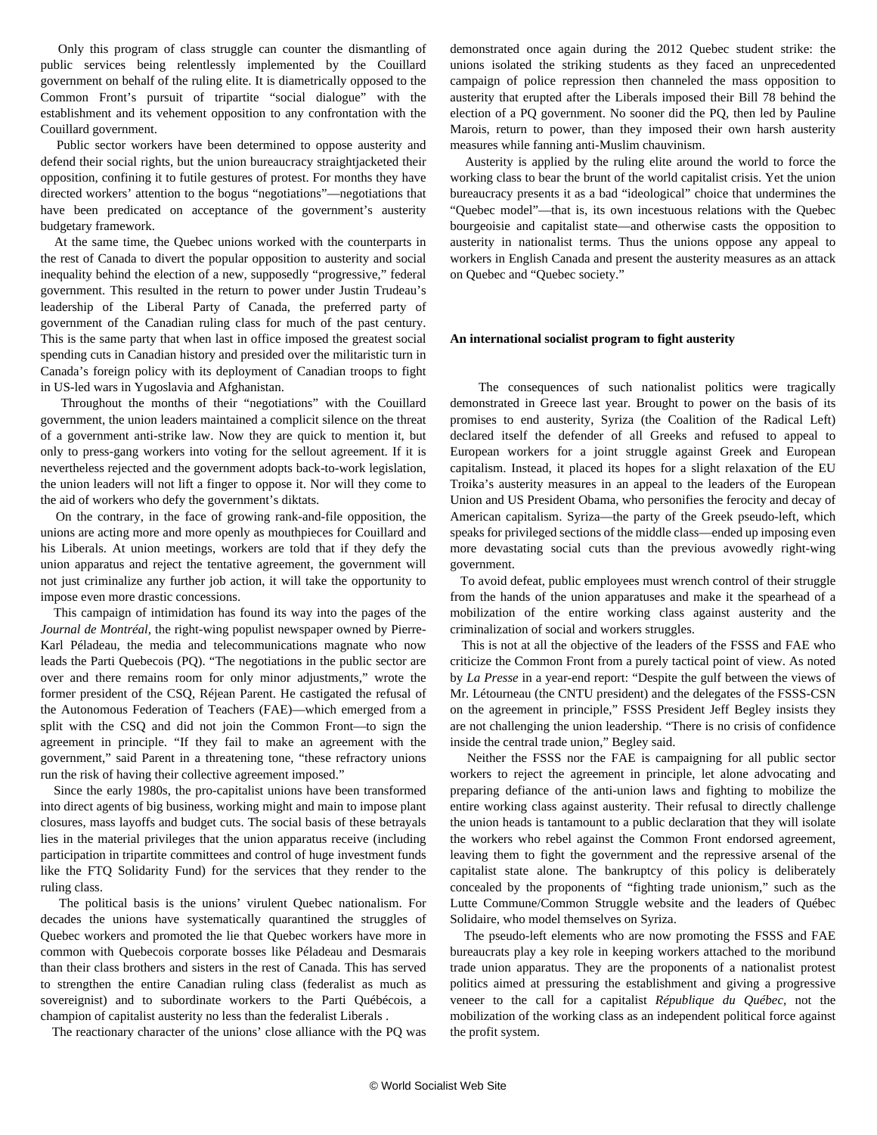Only this program of class struggle can counter the dismantling of public services being relentlessly implemented by the Couillard government on behalf of the ruling elite. It is diametrically opposed to the Common Front's pursuit of tripartite "social dialogue" with the establishment and its vehement opposition to any confrontation with the Couillard government.

 Public sector workers have been determined to oppose austerity and defend their social rights, but the union bureaucracy straightjacketed their opposition, confining it to futile gestures of protest. For months they have directed workers' attention to the bogus "negotiations"—negotiations that have been predicated on acceptance of the government's austerity budgetary framework.

 At the same time, the Quebec unions worked with the counterparts in the rest of Canada to divert the popular opposition to austerity and social inequality behind the election of a new, supposedly "progressive," federal government. This resulted in the return to power under Justin Trudeau's leadership of the Liberal Party of Canada, the preferred party of government of the Canadian ruling class for much of the past century. This is the same party that when last in office imposed the greatest social spending cuts in Canadian history and presided over the militaristic turn in Canada's foreign policy with its deployment of Canadian troops to fight in US-led wars in Yugoslavia and Afghanistan.

 Throughout the months of their "negotiations" with the Couillard government, the union leaders maintained a complicit silence on the threat of a government anti-strike law. Now they are quick to mention it, but only to press-gang workers into voting for the sellout agreement. If it is nevertheless rejected and the government adopts back-to-work legislation, the union leaders will not lift a finger to oppose it. Nor will they come to the aid of workers who defy the government's diktats.

 On the contrary, in the face of growing rank-and-file opposition, the unions are acting more and more openly as mouthpieces for Couillard and his Liberals. At union meetings, workers are told that if they defy the union apparatus and reject the tentative agreement, the government will not just criminalize any further job action, it will take the opportunity to impose even more drastic concessions.

 This campaign of intimidation has found its way into the pages of the *Journal de Montréal,* the right-wing populist newspaper owned by Pierre-Karl Péladeau, the media and telecommunications magnate who now leads the Parti Quebecois (PQ). "The negotiations in the public sector are over and there remains room for only minor adjustments," wrote the former president of the CSQ, Réjean Parent. He castigated the refusal of the Autonomous Federation of Teachers (FAE)—which emerged from a split with the CSQ and did not join the Common Front—to sign the agreement in principle. "If they fail to make an agreement with the government," said Parent in a threatening tone, "these refractory unions run the risk of having their collective agreement imposed."

 Since the early 1980s, the pro-capitalist unions have been transformed into direct agents of big business, working might and main to impose plant closures, mass layoffs and budget cuts. The social basis of these betrayals lies in the material privileges that the union apparatus receive (including participation in tripartite committees and control of huge investment funds like the FTQ Solidarity Fund) for the services that they render to the ruling class.

 The political basis is the unions' virulent Quebec nationalism. For decades the unions have systematically quarantined the struggles of Quebec workers and promoted the lie that Quebec workers have more in common with Quebecois corporate bosses like Péladeau and Desmarais than their class brothers and sisters in the rest of Canada. This has served to strengthen the entire Canadian ruling class (federalist as much as sovereignist) and to subordinate workers to the Parti Québécois, a champion of capitalist austerity no less than the federalist Liberals .

The reactionary character of the unions' close alliance with the PQ was

demonstrated once again during the 2012 Quebec student strike: the unions isolated the striking students as they faced an unprecedented campaign of police repression then channeled the mass opposition to austerity that erupted after the Liberals imposed their Bill 78 behind the election of a PQ government. No sooner did the PQ, then led by Pauline Marois, return to power, than they imposed their own harsh austerity measures while fanning anti-Muslim chauvinism.

 Austerity is applied by the ruling elite around the world to force the working class to bear the brunt of the world capitalist crisis. Yet the union bureaucracy presents it as a bad "ideological" choice that undermines the "Quebec model"—that is, its own incestuous relations with the Quebec bourgeoisie and capitalist state—and otherwise casts the opposition to austerity in nationalist terms. Thus the unions oppose any appeal to workers in English Canada and present the austerity measures as an attack on Quebec and "Quebec society."

## **An international socialist program to fight austerity**

 The consequences of such nationalist politics were tragically demonstrated in Greece last year. Brought to power on the basis of its promises to end austerity, Syriza (the Coalition of the Radical Left) declared itself the defender of all Greeks and refused to appeal to European workers for a joint struggle against Greek and European capitalism. Instead, it placed its hopes for a slight relaxation of the EU Troika's austerity measures in an appeal to the leaders of the European Union and US President Obama, who personifies the ferocity and decay of American capitalism. Syriza—the party of the Greek pseudo-left, which speaks for privileged sections of the middle class—ended up imposing even more devastating social cuts than the previous avowedly right-wing government.

 To avoid defeat, public employees must wrench control of their struggle from the hands of the union apparatuses and make it the spearhead of a mobilization of the entire working class against austerity and the criminalization of social and workers struggles.

 This is not at all the objective of the leaders of the FSSS and FAE who criticize the Common Front from a purely tactical point of view. As noted by *La Presse* in a year-end report: "Despite the gulf between the views of Mr. Létourneau (the CNTU president) and the delegates of the FSSS-CSN on the agreement in principle," FSSS President Jeff Begley insists they are not challenging the union leadership. "There is no crisis of confidence inside the central trade union," Begley said.

 Neither the FSSS nor the FAE is campaigning for all public sector workers to reject the agreement in principle, let alone advocating and preparing defiance of the anti-union laws and fighting to mobilize the entire working class against austerity. Their refusal to directly challenge the union heads is tantamount to a public declaration that they will isolate the workers who rebel against the Common Front endorsed agreement, leaving them to fight the government and the repressive arsenal of the capitalist state alone. The bankruptcy of this policy is deliberately concealed by the proponents of "fighting trade unionism," such as the Lutte Commune/Common Struggle website and the leaders of Québec Solidaire, who model themselves on Syriza.

 The pseudo-left elements who are now promoting the FSSS and FAE bureaucrats play a key role in keeping workers attached to the moribund trade union apparatus. They are the proponents of a nationalist protest politics aimed at pressuring the establishment and giving a progressive veneer to the call for a capitalist *République du Québec,* not the mobilization of the working class as an independent political force against the profit system.